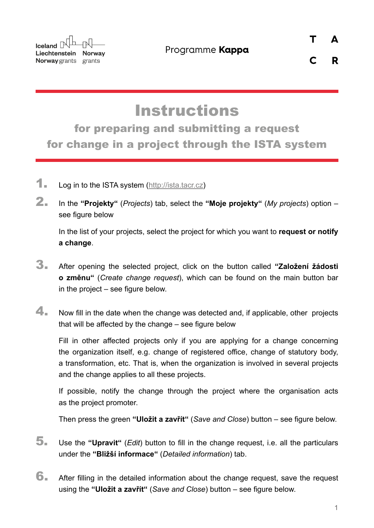**Iceland**  $\mathbb{R}^{\mathbb{L}}$ Liechtenstein Norway Norway grants grants

 $\mathsf{C}$ 

R

## **Instructions**

for preparing and submitting a request for change in a project through the ISTA system

- 1. Log in to the ISTA system (<http://ista.tacr.cz>)
- 2. In the **"Projekty"** (*Projects*) tab, select the **"Moje projekty"** (*My projects*) option see figure below

In the list of your projects, select the project for which you want to **request or notify a change**.

- 3. After opening the selected project, click on the button called **"Založení žádosti o změnu"** (*Create change request*), which can be found on the main button bar in the project – see figure below.
- $\blacktriangle$ . Now fill in the date when the change was detected and, if applicable, other projects that will be affected by the change – see figure below

Fill in other affected projects only if you are applying for a change concerning the organization itself, e.g. change of registered office, change of statutory body, a transformation, etc. That is, when the organization is involved in several projects and the change applies to all these projects.

If possible, notify the change through the project where the organisation acts as the project promoter.

Then press the green **"Uložit a zavřít"** (*Save and Close*) button – see figure below.

- 5. Use the **"Upravit"** (*Edit*) button to fill in the change request, i.e. all the particulars under the **"Bližší informace"** (*Detailed information*) tab.
- 6. After filling in the detailed information about the change request, save the request using the **"Uložit a zavřít"** (*Save and Close*) button – see figure below.